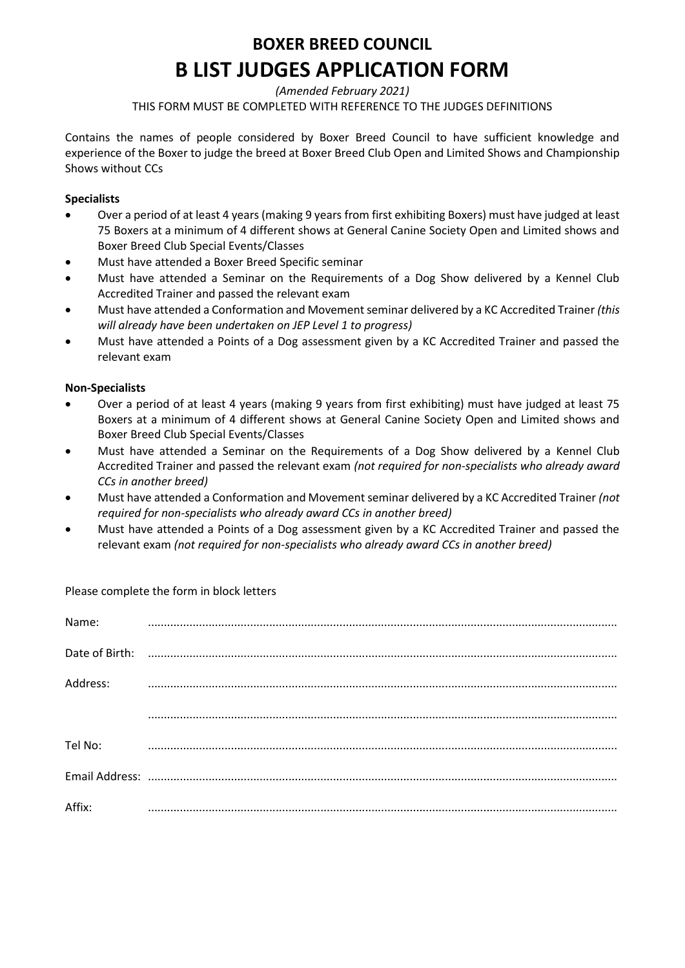### **BOXER BREED COUNCIL B LIST JUDGES APPLICATION FORM**

*(Amended February 2021)*

THIS FORM MUST BE COMPLETED WITH REFERENCE TO THE JUDGES DEFINITIONS

Contains the names of people considered by Boxer Breed Council to have sufficient knowledge and experience of the Boxer to judge the breed at Boxer Breed Club Open and Limited Shows and Championship Shows without CCs

### **Specialists**

- Over a period of at least 4 years (making 9 years from first exhibiting Boxers) must have judged at least 75 Boxers at a minimum of 4 different shows at General Canine Society Open and Limited shows and Boxer Breed Club Special Events/Classes
- Must have attended a Boxer Breed Specific seminar
- Must have attended a Seminar on the Requirements of a Dog Show delivered by a Kennel Club Accredited Trainer and passed the relevant exam
- Must have attended a Conformation and Movement seminar delivered by a KC Accredited Trainer *(this will already have been undertaken on JEP Level 1 to progress)*
- Must have attended a Points of a Dog assessment given by a KC Accredited Trainer and passed the relevant exam

#### **Non-Specialists**

- Over a period of at least 4 years (making 9 years from first exhibiting) must have judged at least 75 Boxers at a minimum of 4 different shows at General Canine Society Open and Limited shows and Boxer Breed Club Special Events/Classes
- Must have attended a Seminar on the Requirements of a Dog Show delivered by a Kennel Club Accredited Trainer and passed the relevant exam *(not required for non-specialists who already award CCs in another breed)*
- Must have attended a Conformation and Movement seminar delivered by a KC Accredited Trainer *(not required for non-specialists who already award CCs in another breed)*
- Must have attended a Points of a Dog assessment given by a KC Accredited Trainer and passed the relevant exam *(not required for non-specialists who already award CCs in another breed)*

Please complete the form in block letters

| Name:          |  |
|----------------|--|
| Date of Birth: |  |
| Address:       |  |
|                |  |
| Tel No:        |  |
|                |  |
| Affix:         |  |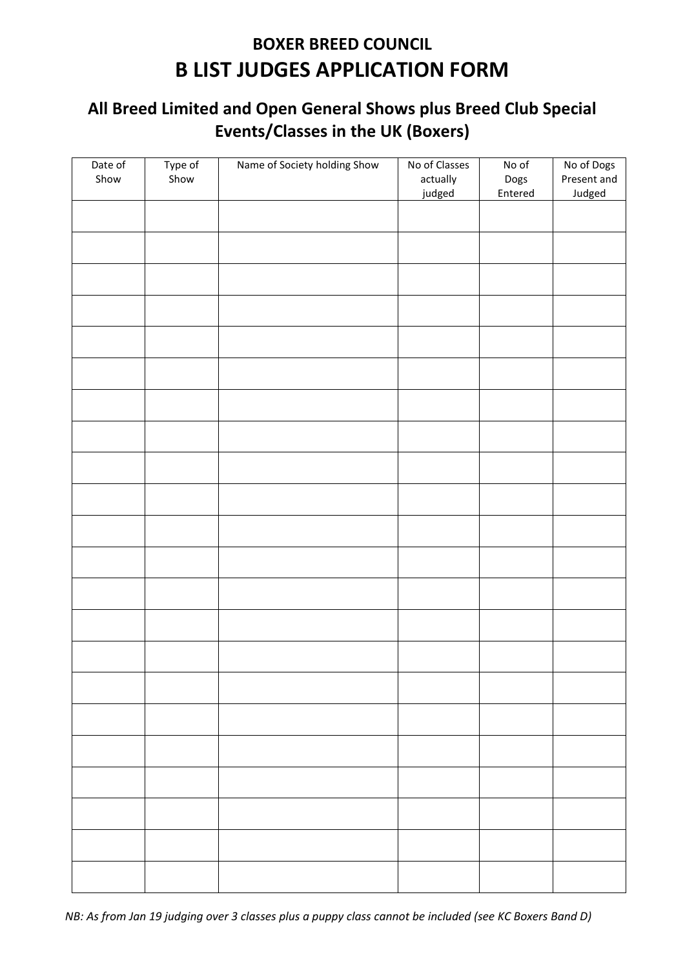# **BOXER BREED COUNCIL B LIST JUDGES APPLICATION FORM**

### **All Breed Limited and Open General Shows plus Breed Club Special Events/Classes in the UK (Boxers)**

| Date of<br>Show | Type of<br>Show | Name of Society holding Show | No of Classes<br>actually<br>judged | No of<br>Dogs<br>Entered | No of Dogs<br>Present and<br>Judged |
|-----------------|-----------------|------------------------------|-------------------------------------|--------------------------|-------------------------------------|
|                 |                 |                              |                                     |                          |                                     |
|                 |                 |                              |                                     |                          |                                     |
|                 |                 |                              |                                     |                          |                                     |
|                 |                 |                              |                                     |                          |                                     |
|                 |                 |                              |                                     |                          |                                     |
|                 |                 |                              |                                     |                          |                                     |
|                 |                 |                              |                                     |                          |                                     |
|                 |                 |                              |                                     |                          |                                     |
|                 |                 |                              |                                     |                          |                                     |
|                 |                 |                              |                                     |                          |                                     |
|                 |                 |                              |                                     |                          |                                     |
|                 |                 |                              |                                     |                          |                                     |
|                 |                 |                              |                                     |                          |                                     |
|                 |                 |                              |                                     |                          |                                     |
|                 |                 |                              |                                     |                          |                                     |
|                 |                 |                              |                                     |                          |                                     |
|                 |                 |                              |                                     |                          |                                     |
|                 |                 |                              |                                     |                          |                                     |
|                 |                 |                              |                                     |                          |                                     |
|                 |                 |                              |                                     |                          |                                     |
|                 |                 |                              |                                     |                          |                                     |
|                 |                 |                              |                                     |                          |                                     |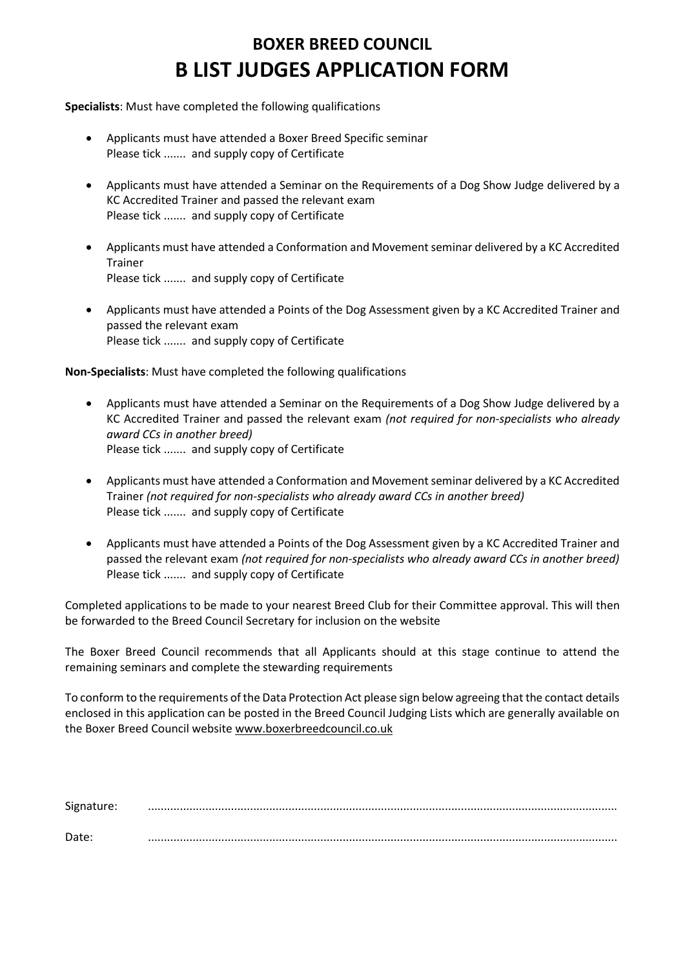# **BOXER BREED COUNCIL B LIST JUDGES APPLICATION FORM**

**Specialists**: Must have completed the following qualifications

- Applicants must have attended a Boxer Breed Specific seminar Please tick ....... and supply copy of Certificate
- Applicants must have attended a Seminar on the Requirements of a Dog Show Judge delivered by a KC Accredited Trainer and passed the relevant exam Please tick ....... and supply copy of Certificate
- Applicants must have attended a Conformation and Movement seminar delivered by a KC Accredited Trainer Please tick ....... and supply copy of Certificate
- Applicants must have attended a Points of the Dog Assessment given by a KC Accredited Trainer and passed the relevant exam Please tick ....... and supply copy of Certificate

**Non-Specialists**: Must have completed the following qualifications

- Applicants must have attended a Seminar on the Requirements of a Dog Show Judge delivered by a KC Accredited Trainer and passed the relevant exam *(not required for non-specialists who already award CCs in another breed)* Please tick ....... and supply copy of Certificate
- Applicants must have attended a Conformation and Movement seminar delivered by a KC Accredited Trainer *(not required for non-specialists who already award CCs in another breed)* Please tick ....... and supply copy of Certificate
- Applicants must have attended a Points of the Dog Assessment given by a KC Accredited Trainer and passed the relevant exam *(not required for non-specialists who already award CCs in another breed)* Please tick ....... and supply copy of Certificate

Completed applications to be made to your nearest Breed Club for their Committee approval. This will then be forwarded to the Breed Council Secretary for inclusion on the website

The Boxer Breed Council recommends that all Applicants should at this stage continue to attend the remaining seminars and complete the stewarding requirements

To conform to the requirements of the Data Protection Act please sign below agreeing that the contact details enclosed in this application can be posted in the Breed Council Judging Lists which are generally available on the Boxer Breed Council websit[e www.boxerbreedcouncil.co.uk](http://www.boxerbreedcouncil.co.uk/)

| Signature: |  |
|------------|--|
| Date:      |  |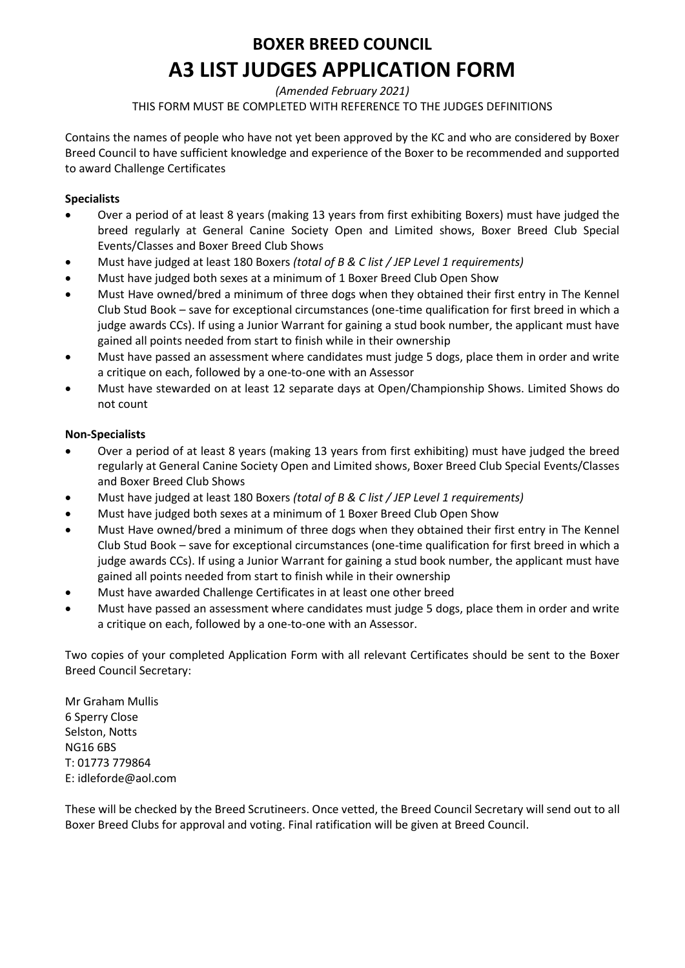### **BOXER BREED COUNCIL A3 LIST JUDGES APPLICATION FORM**

*(Amended February 2021)*

THIS FORM MUST BE COMPLETED WITH REFERENCE TO THE JUDGES DEFINITIONS

Contains the names of people who have not yet been approved by the KC and who are considered by Boxer Breed Council to have sufficient knowledge and experience of the Boxer to be recommended and supported to award Challenge Certificates

### **Specialists**

- Over a period of at least 8 years (making 13 years from first exhibiting Boxers) must have judged the breed regularly at General Canine Society Open and Limited shows, Boxer Breed Club Special Events/Classes and Boxer Breed Club Shows
- Must have judged at least 180 Boxers *(total of B & C list / JEP Level 1 requirements)*
- Must have judged both sexes at a minimum of 1 Boxer Breed Club Open Show
- Must Have owned/bred a minimum of three dogs when they obtained their first entry in The Kennel Club Stud Book – save for exceptional circumstances (one-time qualification for first breed in which a judge awards CCs). If using a Junior Warrant for gaining a stud book number, the applicant must have gained all points needed from start to finish while in their ownership
- Must have passed an assessment where candidates must judge 5 dogs, place them in order and write a critique on each, followed by a one-to-one with an Assessor
- Must have stewarded on at least 12 separate days at Open/Championship Shows. Limited Shows do not count

#### **Non-Specialists**

- Over a period of at least 8 years (making 13 years from first exhibiting) must have judged the breed regularly at General Canine Society Open and Limited shows, Boxer Breed Club Special Events/Classes and Boxer Breed Club Shows
- Must have judged at least 180 Boxers *(total of B & C list / JEP Level 1 requirements)*
- Must have judged both sexes at a minimum of 1 Boxer Breed Club Open Show
- Must Have owned/bred a minimum of three dogs when they obtained their first entry in The Kennel Club Stud Book – save for exceptional circumstances (one-time qualification for first breed in which a judge awards CCs). If using a Junior Warrant for gaining a stud book number, the applicant must have gained all points needed from start to finish while in their ownership
- Must have awarded Challenge Certificates in at least one other breed
- Must have passed an assessment where candidates must judge 5 dogs, place them in order and write a critique on each, followed by a one-to-one with an Assessor.

Two copies of your completed Application Form with all relevant Certificates should be sent to the Boxer Breed Council Secretary:

Mr Graham Mullis 6 Sperry Close Selston, Notts NG16 6BS T: 01773 779864 E: idleforde@aol.com

These will be checked by the Breed Scrutineers. Once vetted, the Breed Council Secretary will send out to all Boxer Breed Clubs for approval and voting. Final ratification will be given at Breed Council.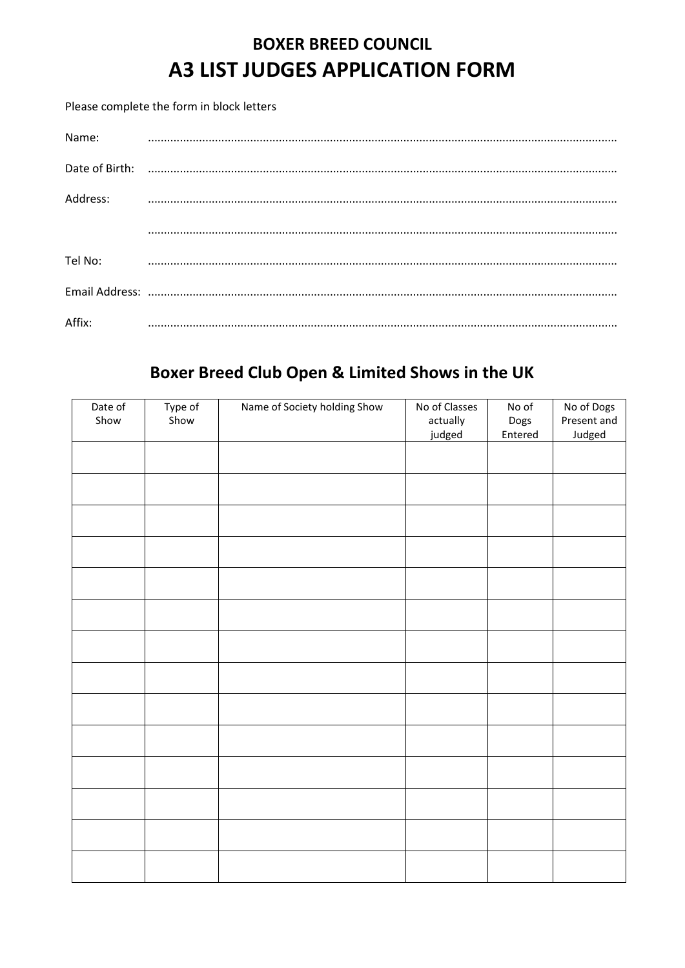# **BOXER BREED COUNCIL A3 LIST JUDGES APPLICATION FORM**

Please complete the form in block letters

| Name:          |  |
|----------------|--|
| Date of Birth: |  |
| Address:       |  |
|                |  |
| Tel No:        |  |
|                |  |
| Affix:         |  |

### Boxer Breed Club Open & Limited Shows in the UK

| Date of<br>Show | Type of<br>Show | Name of Society holding Show | No of Classes<br>actually<br>judged | No of<br>Dogs<br>Entered | No of Dogs<br>Present and<br>Judged |
|-----------------|-----------------|------------------------------|-------------------------------------|--------------------------|-------------------------------------|
|                 |                 |                              |                                     |                          |                                     |
|                 |                 |                              |                                     |                          |                                     |
|                 |                 |                              |                                     |                          |                                     |
|                 |                 |                              |                                     |                          |                                     |
|                 |                 |                              |                                     |                          |                                     |
|                 |                 |                              |                                     |                          |                                     |
|                 |                 |                              |                                     |                          |                                     |
|                 |                 |                              |                                     |                          |                                     |
|                 |                 |                              |                                     |                          |                                     |
|                 |                 |                              |                                     |                          |                                     |
|                 |                 |                              |                                     |                          |                                     |
|                 |                 |                              |                                     |                          |                                     |
|                 |                 |                              |                                     |                          |                                     |
|                 |                 |                              |                                     |                          |                                     |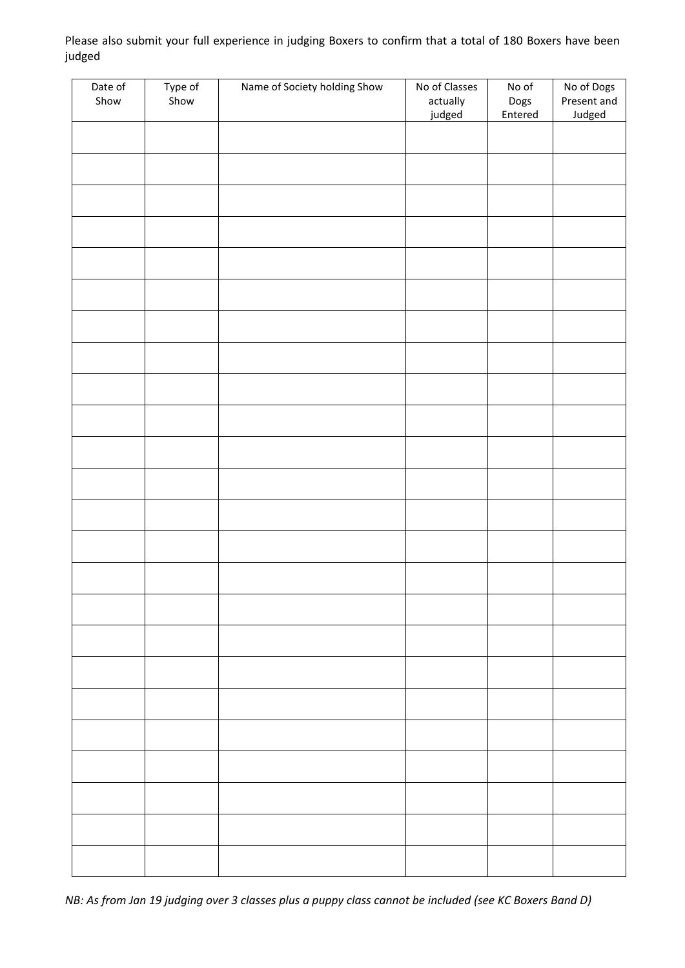Please also submit your full experience in judging Boxers to confirm that a total of 180 Boxers have been judged

| Date of<br>Show | Type of<br>Show | Name of Society holding Show | No of Classes      | No of           | No of Dogs<br>Present and |
|-----------------|-----------------|------------------------------|--------------------|-----------------|---------------------------|
|                 |                 |                              | actually<br>judged | Dogs<br>Entered | Judged                    |
|                 |                 |                              |                    |                 |                           |
|                 |                 |                              |                    |                 |                           |
|                 |                 |                              |                    |                 |                           |
|                 |                 |                              |                    |                 |                           |
|                 |                 |                              |                    |                 |                           |
|                 |                 |                              |                    |                 |                           |
|                 |                 |                              |                    |                 |                           |
|                 |                 |                              |                    |                 |                           |
|                 |                 |                              |                    |                 |                           |
|                 |                 |                              |                    |                 |                           |
|                 |                 |                              |                    |                 |                           |
|                 |                 |                              |                    |                 |                           |
|                 |                 |                              |                    |                 |                           |
|                 |                 |                              |                    |                 |                           |
|                 |                 |                              |                    |                 |                           |
|                 |                 |                              |                    |                 |                           |
|                 |                 |                              |                    |                 |                           |
|                 |                 |                              |                    |                 |                           |
|                 |                 |                              |                    |                 |                           |
|                 |                 |                              |                    |                 |                           |
|                 |                 |                              |                    |                 |                           |
|                 |                 |                              |                    |                 |                           |
|                 |                 |                              |                    |                 |                           |
|                 |                 |                              |                    |                 |                           |

*NB: As from Jan 19 judging over 3 classes plus a puppy class cannot be included (see KC Boxers Band D)*